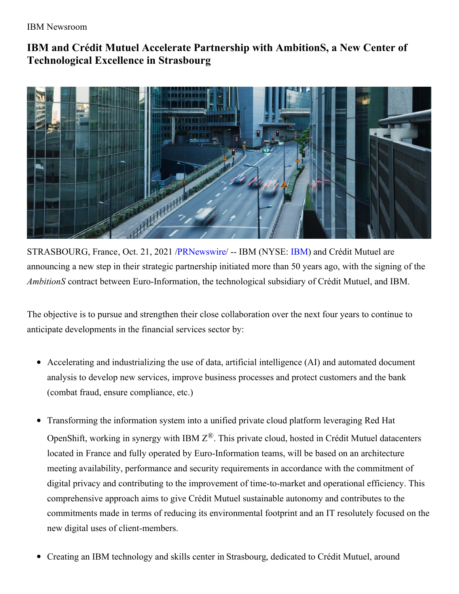IBM Newsroom

# **IBM and Crédit Mutuel Accelerate Partnership with AmbitionS, a New Center of Technological Excellence in Strasbourg**



STRASBOURG, France, Oct. 21, 2021 [/PRNewswire](http://www.prnewswire.com/)/ -- IBM (NYSE: [IBM](https://c212.net/c/link/?t=0&l=en&o=3330789-1&h=4286015887&u=http%3A%2F%2Fwww.ibm.com%2Finvestor&a=IBM)) and Crédit Mutuel are announcing a new step in their strategic partnership initiated more than 50 years ago, with the signing of the *AmbitionS* contract between Euro-Information, the technological subsidiary of Crédit Mutuel, and IBM.

The objective is to pursue and strengthen their close collaboration over the next four years to continue to anticipate developments in the financial services sector by:

- Accelerating and industrializing the use of data, artificial intelligence (AI) and automated document analysis to develop new services, improve business processes and protect customers and the bank (combat fraud, ensure compliance, etc.)
- Transforming the information system into a unified private cloud platform leveraging Red Hat OpenShift, working in synergy with IBM  $Z^{\mathcal{B}}$ . This private cloud, hosted in Crédit Mutuel datacenters located in France and fully operated by Euro-Information teams, will be based on an architecture meeting availability, performance and security requirements in accordance with the commitment of digital privacy and contributing to the improvement of time-to-market and operational efficiency. This comprehensive approach aims to give Crédit Mutuel sustainable autonomy and contributes to the commitments made in terms of reducing its environmental footprint and an IT resolutely focused on the new digital uses of client-members.
- Creating an IBM technology and skills center in Strasbourg, dedicated to Crédit Mutuel, around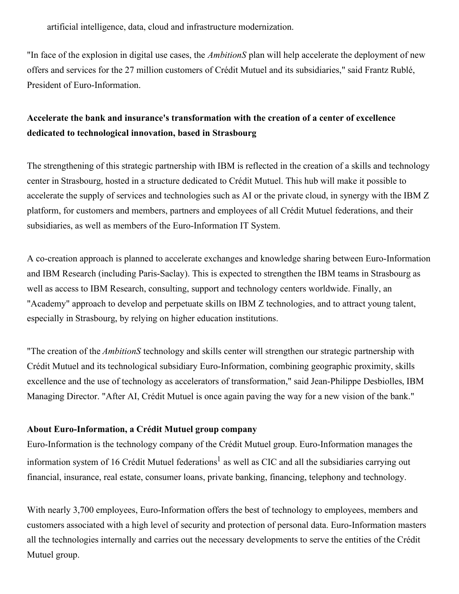artificial intelligence, data, cloud and infrastructure modernization.

"In face of the explosion in digital use cases, the *AmbitionS* plan will help accelerate the deployment of new offers and services for the 27 million customers of Crédit Mutuel and its subsidiaries," said Frantz Rublé, President of Euro-Information.

# **Accelerate the bank and insurance's transformation with the creation of a center of excellence dedicated to technological innovation, based in Strasbourg**

The strengthening of this strategic partnership with IBM is reflected in the creation of a skills and technology center in Strasbourg, hosted in a structure dedicated to Crédit Mutuel. This hub will make it possible to accelerate the supply of services and technologies such as AI or the private cloud, in synergy with the IBM Z platform, for customers and members, partners and employees of all Crédit Mutuel federations, and their subsidiaries, as well as members of the Euro-Information IT System.

A co-creation approach is planned to accelerate exchanges and knowledge sharing between Euro-Information and IBM Research (including Paris-Saclay). This is expected to strengthen the IBM teams in Strasbourg as well as access to IBM Research, consulting, support and technology centers worldwide. Finally, an "Academy" approach to develop and perpetuate skills on IBM Z technologies, and to attract young talent, especially in Strasbourg, by relying on higher education institutions.

"The creation of the *AmbitionS* technology and skills center will strengthen our strategic partnership with Crédit Mutuel and its technological subsidiary Euro-Information, combining geographic proximity, skills excellence and the use of technology as accelerators of transformation," said Jean-Philippe Desbiolles, IBM Managing Director. "After AI, Crédit Mutuel is once again paving the way for a new vision of the bank."

#### **About Euro-Information, a Crédit Mutuel group company**

Euro-Information is the technology company of the Crédit Mutuel group. Euro-Information manages the information system of 16 Crédit Mutuel federations<sup>1</sup> as well as CIC and all the subsidiaries carrying out financial, insurance, real estate, consumer loans, private banking, financing, telephony and technology.

With nearly 3,700 employees, Euro-Information offers the best of technology to employees, members and customers associated with a high level of security and protection of personal data. Euro-Information masters all the technologies internally and carries out the necessary developments to serve the entities of the Crédit Mutuel group.